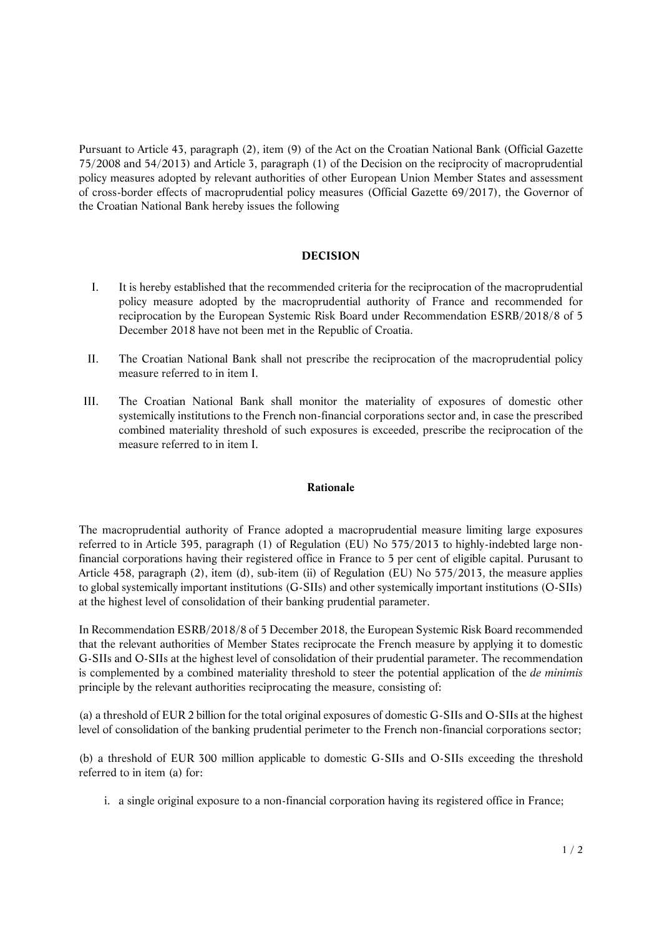Pursuant to Article 43, paragraph (2), item (9) of the Act on the Croatian National Bank (Official Gazette 75/2008 and 54/2013) and Article 3, paragraph (1) of the Decision on the reciprocity of macroprudential policy measures adopted by relevant authorities of other European Union Member States and assessment of cross-border effects of macroprudential policy measures (Official Gazette 69/2017), the Governor of the Croatian National Bank hereby issues the following

## **DECISION**

- I. It is hereby established that the recommended criteria for the reciprocation of the macroprudential policy measure adopted by the macroprudential authority of France and recommended for reciprocation by the European Systemic Risk Board under Recommendation ESRB/2018/8 of 5 December 2018 have not been met in the Republic of Croatia.
- II. The Croatian National Bank shall not prescribe the reciprocation of the macroprudential policy measure referred to in item I.
- III. The Croatian National Bank shall monitor the materiality of exposures of domestic other systemically institutions to the French non-financial corporations sector and, in case the prescribed combined materiality threshold of such exposures is exceeded, prescribe the reciprocation of the measure referred to in item I.

## **Rationale**

The macroprudential authority of France adopted a macroprudential measure limiting large exposures referred to in Article 395, paragraph (1) of Regulation (EU) No 575/2013 to highly-indebted large nonfinancial corporations having their registered office in France to 5 per cent of eligible capital. Purusant to Article 458, paragraph (2), item (d), sub-item (ii) of Regulation (EU) No 575/2013, the measure applies to global systemically important institutions (G-SIIs) and other systemically important institutions (O-SIIs) at the highest level of consolidation of their banking prudential parameter.

In Recommendation ESRB/2018/8 of 5 December 2018, the European Systemic Risk Board recommended that the relevant authorities of Member States reciprocate the French measure by applying it to domestic G-SIIs and O-SIIs at the highest level of consolidation of their prudential parameter. The recommendation is complemented by a combined materiality threshold to steer the potential application of the *de minimis*  principle by the relevant authorities reciprocating the measure, consisting of:

(a) a threshold of EUR 2 billion for the total original exposures of domestic G-SIIs and O-SIIs at the highest level of consolidation of the banking prudential perimeter to the French non-financial corporations sector;

(b) a threshold of EUR 300 million applicable to domestic G-SIIs and O-SIIs exceeding the threshold referred to in item (a) for:

i. a single original exposure to a non-financial corporation having its registered office in France;